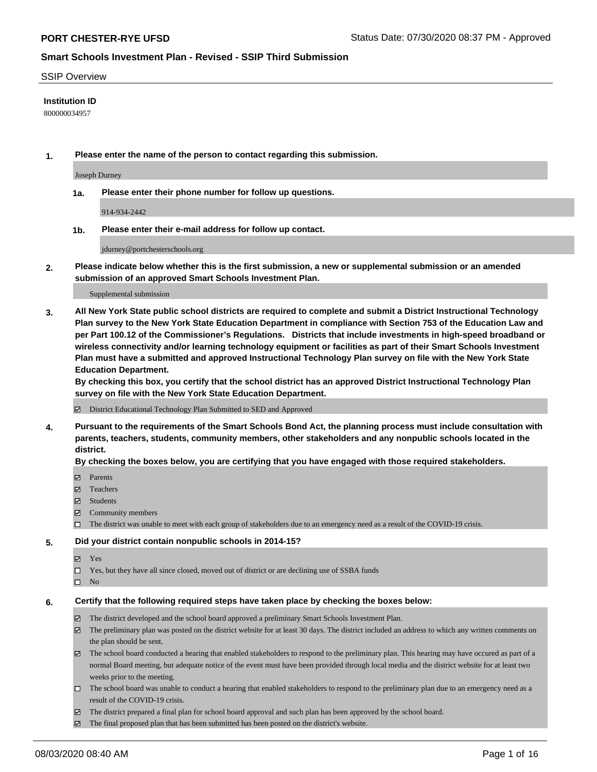#### SSIP Overview

### **Institution ID**

800000034957

**1. Please enter the name of the person to contact regarding this submission.**

Joseph Durney

**1a. Please enter their phone number for follow up questions.**

914-934-2442

**1b. Please enter their e-mail address for follow up contact.**

jdurney@portchesterschools.org

**2. Please indicate below whether this is the first submission, a new or supplemental submission or an amended submission of an approved Smart Schools Investment Plan.**

#### Supplemental submission

**3. All New York State public school districts are required to complete and submit a District Instructional Technology Plan survey to the New York State Education Department in compliance with Section 753 of the Education Law and per Part 100.12 of the Commissioner's Regulations. Districts that include investments in high-speed broadband or wireless connectivity and/or learning technology equipment or facilities as part of their Smart Schools Investment Plan must have a submitted and approved Instructional Technology Plan survey on file with the New York State Education Department.** 

**By checking this box, you certify that the school district has an approved District Instructional Technology Plan survey on file with the New York State Education Department.**

District Educational Technology Plan Submitted to SED and Approved

**4. Pursuant to the requirements of the Smart Schools Bond Act, the planning process must include consultation with parents, teachers, students, community members, other stakeholders and any nonpublic schools located in the district.** 

#### **By checking the boxes below, you are certifying that you have engaged with those required stakeholders.**

- **□** Parents
- Teachers
- Students
- $\boxtimes$  Community members
- The district was unable to meet with each group of stakeholders due to an emergency need as a result of the COVID-19 crisis.

#### **5. Did your district contain nonpublic schools in 2014-15?**

- **冈** Yes
- Yes, but they have all since closed, moved out of district or are declining use of SSBA funds
- $\square$  No

#### **6. Certify that the following required steps have taken place by checking the boxes below:**

- The district developed and the school board approved a preliminary Smart Schools Investment Plan.
- $\boxtimes$  The preliminary plan was posted on the district website for at least 30 days. The district included an address to which any written comments on the plan should be sent.
- The school board conducted a hearing that enabled stakeholders to respond to the preliminary plan. This hearing may have occured as part of a normal Board meeting, but adequate notice of the event must have been provided through local media and the district website for at least two weeks prior to the meeting.
- The school board was unable to conduct a hearing that enabled stakeholders to respond to the preliminary plan due to an emergency need as a result of the COVID-19 crisis.
- The district prepared a final plan for school board approval and such plan has been approved by the school board.
- $\boxtimes$  The final proposed plan that has been submitted has been posted on the district's website.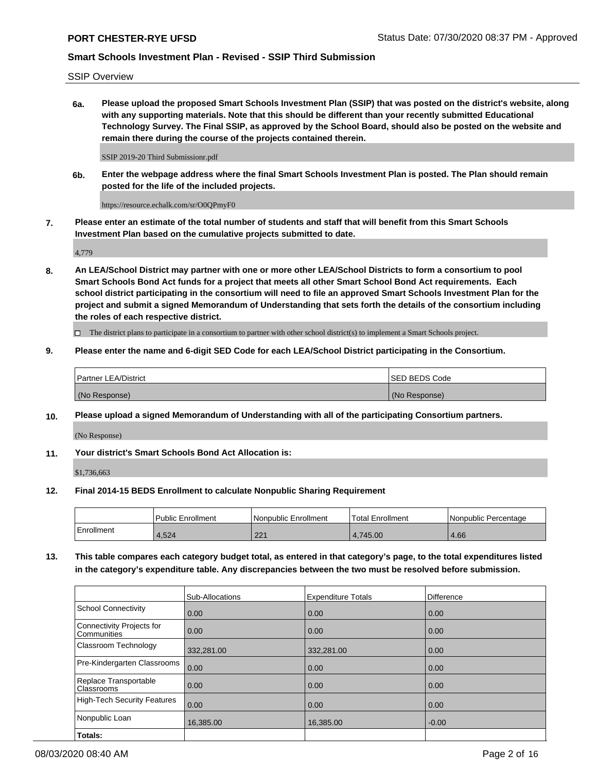SSIP Overview

**6a. Please upload the proposed Smart Schools Investment Plan (SSIP) that was posted on the district's website, along with any supporting materials. Note that this should be different than your recently submitted Educational Technology Survey. The Final SSIP, as approved by the School Board, should also be posted on the website and remain there during the course of the projects contained therein.**

SSIP 2019-20 Third Submissionr.pdf

**6b. Enter the webpage address where the final Smart Schools Investment Plan is posted. The Plan should remain posted for the life of the included projects.**

https://resource.echalk.com/sr/O0QPmyF0

**7. Please enter an estimate of the total number of students and staff that will benefit from this Smart Schools Investment Plan based on the cumulative projects submitted to date.**

4,779

**8. An LEA/School District may partner with one or more other LEA/School Districts to form a consortium to pool Smart Schools Bond Act funds for a project that meets all other Smart School Bond Act requirements. Each school district participating in the consortium will need to file an approved Smart Schools Investment Plan for the project and submit a signed Memorandum of Understanding that sets forth the details of the consortium including the roles of each respective district.**

 $\Box$  The district plans to participate in a consortium to partner with other school district(s) to implement a Smart Schools project.

### **9. Please enter the name and 6-digit SED Code for each LEA/School District participating in the Consortium.**

| Partner LEA/District | <b>ISED BEDS Code</b> |
|----------------------|-----------------------|
| (No Response)        | (No Response)         |

### **10. Please upload a signed Memorandum of Understanding with all of the participating Consortium partners.**

(No Response)

**11. Your district's Smart Schools Bond Act Allocation is:**

\$1,736,663

### **12. Final 2014-15 BEDS Enrollment to calculate Nonpublic Sharing Requirement**

|            | Public Enrollment | Nonpublic Enrollment | Total Enrollment | l Nonpublic Percentage |
|------------|-------------------|----------------------|------------------|------------------------|
| Enrollment | .524              | $\Omega$<br>$22 -$   | 4.745.00         | 4.66                   |

**13. This table compares each category budget total, as entered in that category's page, to the total expenditures listed in the category's expenditure table. Any discrepancies between the two must be resolved before submission.**

|                                          | Sub-Allocations | <b>Expenditure Totals</b> | <b>Difference</b> |
|------------------------------------------|-----------------|---------------------------|-------------------|
| <b>School Connectivity</b>               | 0.00            | 0.00                      | 0.00              |
| Connectivity Projects for<br>Communities | 0.00            | 0.00                      | 0.00              |
| Classroom Technology                     | 332,281.00      | 332,281.00                | 0.00              |
| Pre-Kindergarten Classrooms              | 0.00            | 0.00                      | 0.00              |
| Replace Transportable<br>Classrooms      | 0.00            | 0.00                      | 0.00              |
| <b>High-Tech Security Features</b>       | 0.00            | 0.00                      | 0.00              |
| Nonpublic Loan                           | 16,385.00       | 16,385.00                 | $-0.00$           |
| Totals:                                  |                 |                           |                   |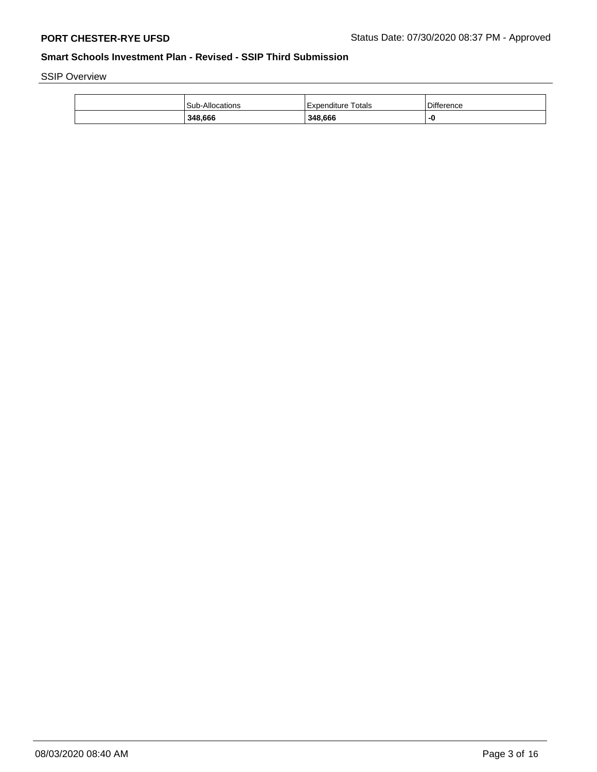SSIP Overview

| 348.666         | 348,666               | -0         |
|-----------------|-----------------------|------------|
| Sub-Allocations | Totals<br>Expenditure | Difference |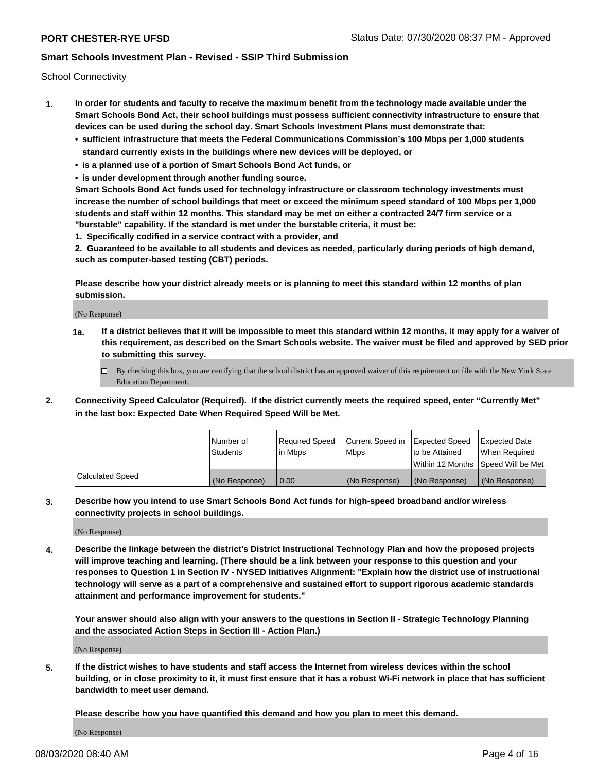School Connectivity

- **1. In order for students and faculty to receive the maximum benefit from the technology made available under the Smart Schools Bond Act, their school buildings must possess sufficient connectivity infrastructure to ensure that devices can be used during the school day. Smart Schools Investment Plans must demonstrate that:**
	- **• sufficient infrastructure that meets the Federal Communications Commission's 100 Mbps per 1,000 students standard currently exists in the buildings where new devices will be deployed, or**
	- **• is a planned use of a portion of Smart Schools Bond Act funds, or**
	- **• is under development through another funding source.**

**Smart Schools Bond Act funds used for technology infrastructure or classroom technology investments must increase the number of school buildings that meet or exceed the minimum speed standard of 100 Mbps per 1,000 students and staff within 12 months. This standard may be met on either a contracted 24/7 firm service or a "burstable" capability. If the standard is met under the burstable criteria, it must be:**

**1. Specifically codified in a service contract with a provider, and**

**2. Guaranteed to be available to all students and devices as needed, particularly during periods of high demand, such as computer-based testing (CBT) periods.**

**Please describe how your district already meets or is planning to meet this standard within 12 months of plan submission.**

(No Response)

**1a. If a district believes that it will be impossible to meet this standard within 12 months, it may apply for a waiver of this requirement, as described on the Smart Schools website. The waiver must be filed and approved by SED prior to submitting this survey.**

 $\Box$  By checking this box, you are certifying that the school district has an approved waiver of this requirement on file with the New York State Education Department.

**2. Connectivity Speed Calculator (Required). If the district currently meets the required speed, enter "Currently Met" in the last box: Expected Date When Required Speed Will be Met.**

|                  | l Number of     | Required Speed | Current Speed in | Expected Speed  | Expected Date                           |
|------------------|-----------------|----------------|------------------|-----------------|-----------------------------------------|
|                  | <b>Students</b> | In Mbps        | l Mbps           | to be Attained  | When Required                           |
|                  |                 |                |                  |                 | l Within 12 Months ISpeed Will be Met l |
| Calculated Speed | (No Response)   | 0.00           | (No Response)    | l (No Response) | l (No Response)                         |

**3. Describe how you intend to use Smart Schools Bond Act funds for high-speed broadband and/or wireless connectivity projects in school buildings.**

(No Response)

**4. Describe the linkage between the district's District Instructional Technology Plan and how the proposed projects will improve teaching and learning. (There should be a link between your response to this question and your responses to Question 1 in Section IV - NYSED Initiatives Alignment: "Explain how the district use of instructional technology will serve as a part of a comprehensive and sustained effort to support rigorous academic standards attainment and performance improvement for students."** 

**Your answer should also align with your answers to the questions in Section II - Strategic Technology Planning and the associated Action Steps in Section III - Action Plan.)**

(No Response)

**5. If the district wishes to have students and staff access the Internet from wireless devices within the school building, or in close proximity to it, it must first ensure that it has a robust Wi-Fi network in place that has sufficient bandwidth to meet user demand.**

**Please describe how you have quantified this demand and how you plan to meet this demand.**

(No Response)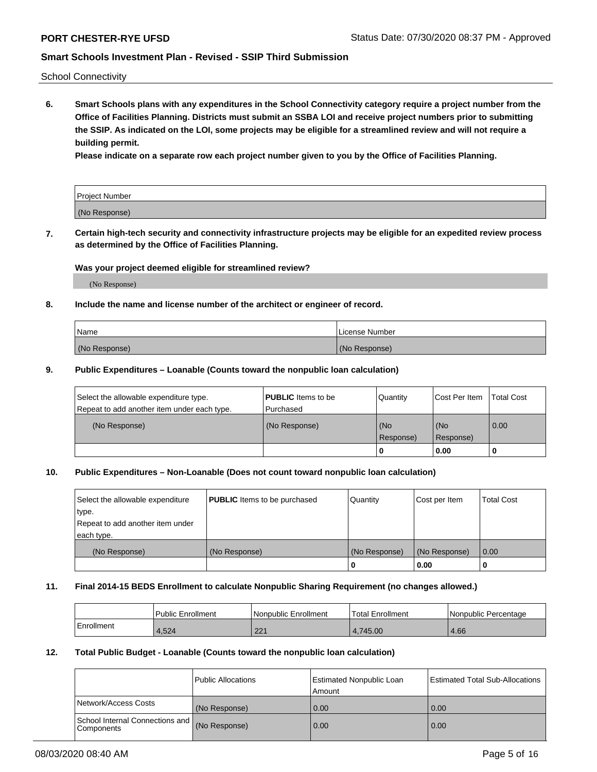School Connectivity

**6. Smart Schools plans with any expenditures in the School Connectivity category require a project number from the Office of Facilities Planning. Districts must submit an SSBA LOI and receive project numbers prior to submitting the SSIP. As indicated on the LOI, some projects may be eligible for a streamlined review and will not require a building permit.**

**Please indicate on a separate row each project number given to you by the Office of Facilities Planning.**

| Project Number |  |
|----------------|--|
| (No Response)  |  |

**7. Certain high-tech security and connectivity infrastructure projects may be eligible for an expedited review process as determined by the Office of Facilities Planning.**

### **Was your project deemed eligible for streamlined review?**

(No Response)

### **8. Include the name and license number of the architect or engineer of record.**

| Name          | License Number |
|---------------|----------------|
| (No Response) | (No Response)  |

### **9. Public Expenditures – Loanable (Counts toward the nonpublic loan calculation)**

| Select the allowable expenditure type.<br>Repeat to add another item under each type. | <b>PUBLIC</b> Items to be<br>l Purchased | Quantity           | Cost Per Item    | <b>Total Cost</b> |
|---------------------------------------------------------------------------------------|------------------------------------------|--------------------|------------------|-------------------|
| (No Response)                                                                         | (No Response)                            | l (No<br>Response) | (No<br>Response) | $\overline{0.00}$ |
|                                                                                       |                                          | 0                  | 0.00             |                   |

# **10. Public Expenditures – Non-Loanable (Does not count toward nonpublic loan calculation)**

| Select the allowable expenditure<br>type.<br>Repeat to add another item under<br>each type. | <b>PUBLIC</b> Items to be purchased | Quantity      | Cost per Item | <b>Total Cost</b> |
|---------------------------------------------------------------------------------------------|-------------------------------------|---------------|---------------|-------------------|
| (No Response)                                                                               | (No Response)                       | (No Response) | (No Response) | 0.00              |
|                                                                                             |                                     |               | 0.00          |                   |

#### **11. Final 2014-15 BEDS Enrollment to calculate Nonpublic Sharing Requirement (no changes allowed.)**

|            | Public Enrollment | Nonpublic Enrollment | 'Total Enrollment | l Nonpublic Percentage |
|------------|-------------------|----------------------|-------------------|------------------------|
| Enrollment | 1,524             | 221<br>221           | 4.745.00          | 4.66                   |

### **12. Total Public Budget - Loanable (Counts toward the nonpublic loan calculation)**

|                                                      | Public Allocations | <b>Estimated Nonpublic Loan</b><br>Amount | Estimated Total Sub-Allocations |
|------------------------------------------------------|--------------------|-------------------------------------------|---------------------------------|
| Network/Access Costs                                 | (No Response)      | 0.00                                      | 0.00                            |
| School Internal Connections and<br><b>Components</b> | (No Response)      | 0.00                                      | 0.00                            |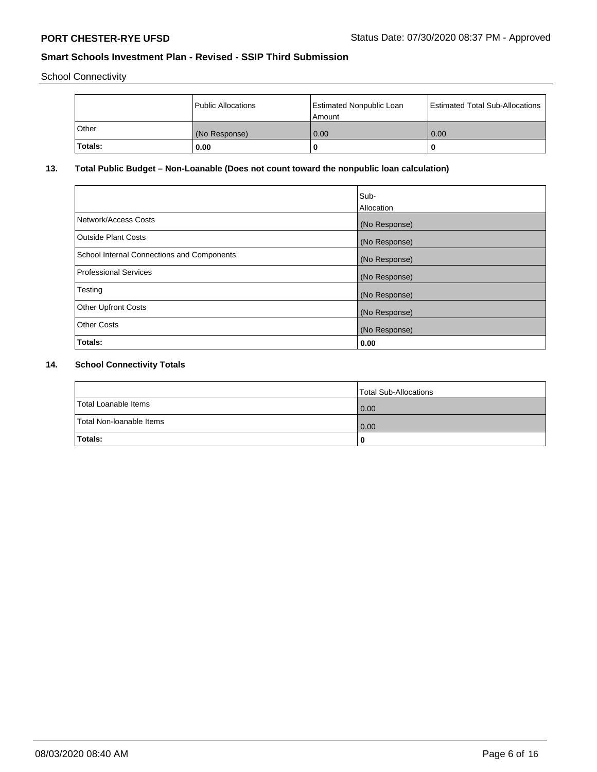School Connectivity

|          | Public Allocations | <b>Estimated Nonpublic Loan</b><br>l Amount | <b>Estimated Total Sub-Allocations</b> |
|----------|--------------------|---------------------------------------------|----------------------------------------|
| l Other  | (No Response)      | 0.00                                        | 0.00                                   |
| 'Totals: | 0.00               | 0                                           |                                        |

# **13. Total Public Budget – Non-Loanable (Does not count toward the nonpublic loan calculation)**

|                                                   | Sub-<br>Allocation |
|---------------------------------------------------|--------------------|
| Network/Access Costs                              | (No Response)      |
| <b>Outside Plant Costs</b>                        | (No Response)      |
| <b>School Internal Connections and Components</b> | (No Response)      |
| Professional Services                             | (No Response)      |
| Testing                                           | (No Response)      |
| <b>Other Upfront Costs</b>                        | (No Response)      |
| <b>Other Costs</b>                                | (No Response)      |
| <b>Totals:</b>                                    | 0.00               |

# **14. School Connectivity Totals**

|                          | Total Sub-Allocations |
|--------------------------|-----------------------|
| Total Loanable Items     | 0.00                  |
| Total Non-Ioanable Items | 0.00                  |
| Totals:                  | 0                     |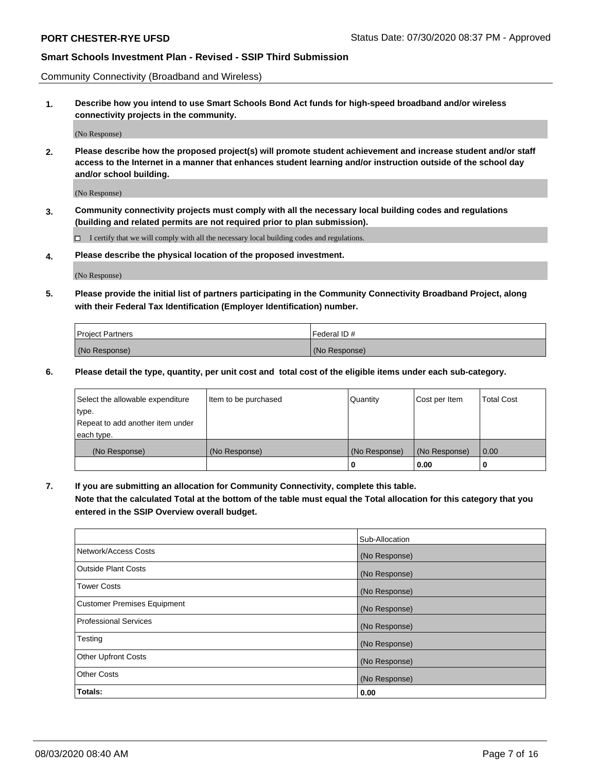Community Connectivity (Broadband and Wireless)

**1. Describe how you intend to use Smart Schools Bond Act funds for high-speed broadband and/or wireless connectivity projects in the community.**

(No Response)

**2. Please describe how the proposed project(s) will promote student achievement and increase student and/or staff access to the Internet in a manner that enhances student learning and/or instruction outside of the school day and/or school building.**

(No Response)

**3. Community connectivity projects must comply with all the necessary local building codes and regulations (building and related permits are not required prior to plan submission).**

 $\Box$  I certify that we will comply with all the necessary local building codes and regulations.

**4. Please describe the physical location of the proposed investment.**

(No Response)

**5. Please provide the initial list of partners participating in the Community Connectivity Broadband Project, along with their Federal Tax Identification (Employer Identification) number.**

| <b>Project Partners</b> | l Federal ID # |
|-------------------------|----------------|
| (No Response)           | (No Response)  |

**6. Please detail the type, quantity, per unit cost and total cost of the eligible items under each sub-category.**

| Select the allowable expenditure | Item to be purchased | Quantity      | Cost per Item | <b>Total Cost</b> |
|----------------------------------|----------------------|---------------|---------------|-------------------|
| type.                            |                      |               |               |                   |
| Repeat to add another item under |                      |               |               |                   |
| each type.                       |                      |               |               |                   |
| (No Response)                    | (No Response)        | (No Response) | (No Response) | 0.00              |
|                                  |                      | o             | 0.00          |                   |

**7. If you are submitting an allocation for Community Connectivity, complete this table.**

**Note that the calculated Total at the bottom of the table must equal the Total allocation for this category that you entered in the SSIP Overview overall budget.**

|                                    | Sub-Allocation |
|------------------------------------|----------------|
| Network/Access Costs               | (No Response)  |
| Outside Plant Costs                | (No Response)  |
| <b>Tower Costs</b>                 | (No Response)  |
| <b>Customer Premises Equipment</b> | (No Response)  |
| <b>Professional Services</b>       | (No Response)  |
| Testing                            | (No Response)  |
| <b>Other Upfront Costs</b>         | (No Response)  |
| <b>Other Costs</b>                 | (No Response)  |
| Totals:                            | 0.00           |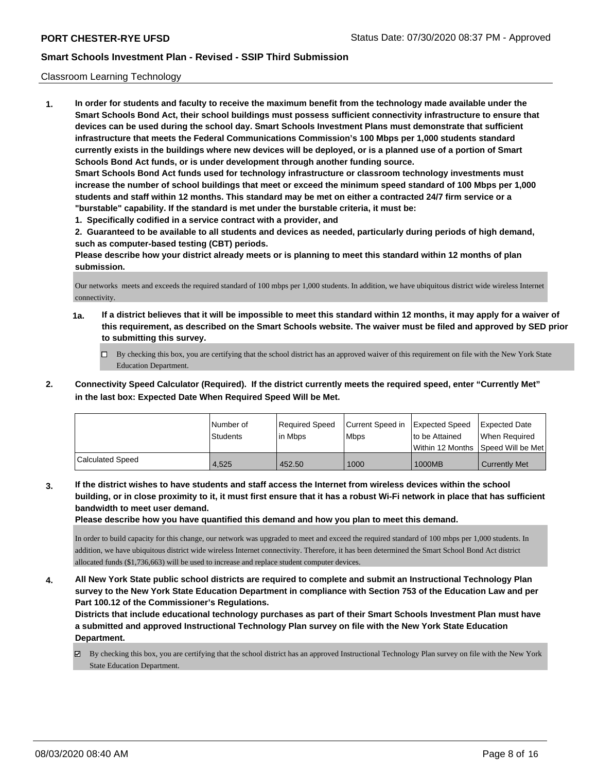### Classroom Learning Technology

**1. In order for students and faculty to receive the maximum benefit from the technology made available under the Smart Schools Bond Act, their school buildings must possess sufficient connectivity infrastructure to ensure that devices can be used during the school day. Smart Schools Investment Plans must demonstrate that sufficient infrastructure that meets the Federal Communications Commission's 100 Mbps per 1,000 students standard currently exists in the buildings where new devices will be deployed, or is a planned use of a portion of Smart Schools Bond Act funds, or is under development through another funding source. Smart Schools Bond Act funds used for technology infrastructure or classroom technology investments must increase the number of school buildings that meet or exceed the minimum speed standard of 100 Mbps per 1,000 students and staff within 12 months. This standard may be met on either a contracted 24/7 firm service or a "burstable" capability. If the standard is met under the burstable criteria, it must be:**

**1. Specifically codified in a service contract with a provider, and**

**2. Guaranteed to be available to all students and devices as needed, particularly during periods of high demand, such as computer-based testing (CBT) periods.**

**Please describe how your district already meets or is planning to meet this standard within 12 months of plan submission.**

Our networks meets and exceeds the required standard of 100 mbps per 1,000 students. In addition, we have ubiquitous district wide wireless Internet connectivity.

- **1a. If a district believes that it will be impossible to meet this standard within 12 months, it may apply for a waiver of this requirement, as described on the Smart Schools website. The waiver must be filed and approved by SED prior to submitting this survey.**
	- By checking this box, you are certifying that the school district has an approved waiver of this requirement on file with the New York State Education Department.
- **2. Connectivity Speed Calculator (Required). If the district currently meets the required speed, enter "Currently Met" in the last box: Expected Date When Required Speed Will be Met.**

|                  | l Number of<br>Students | Required Speed<br>l in Mbps | Current Speed in<br>l Mbps | <b>Expected Speed</b><br>to be Attained | Expected Date<br>When Required<br> Within 12 Months  Speed Will be Met |
|------------------|-------------------------|-----------------------------|----------------------------|-----------------------------------------|------------------------------------------------------------------------|
| Calculated Speed | 4.525                   | 452.50                      | 1000                       | 1000MB                                  | <b>Currently Met</b>                                                   |

**3. If the district wishes to have students and staff access the Internet from wireless devices within the school building, or in close proximity to it, it must first ensure that it has a robust Wi-Fi network in place that has sufficient bandwidth to meet user demand.**

**Please describe how you have quantified this demand and how you plan to meet this demand.**

In order to build capacity for this change, our network was upgraded to meet and exceed the required standard of 100 mbps per 1,000 students. In addition, we have ubiquitous district wide wireless Internet connectivity. Therefore, it has been determined the Smart School Bond Act district allocated funds (\$1,736,663) will be used to increase and replace student computer devices.

**4. All New York State public school districts are required to complete and submit an Instructional Technology Plan survey to the New York State Education Department in compliance with Section 753 of the Education Law and per Part 100.12 of the Commissioner's Regulations.**

**Districts that include educational technology purchases as part of their Smart Schools Investment Plan must have a submitted and approved Instructional Technology Plan survey on file with the New York State Education Department.**

By checking this box, you are certifying that the school district has an approved Instructional Technology Plan survey on file with the New York State Education Department.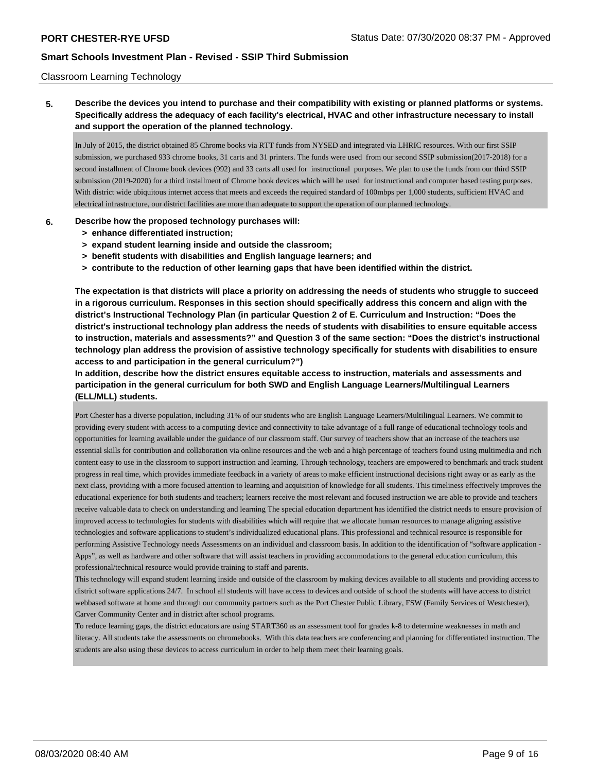### Classroom Learning Technology

# **5. Describe the devices you intend to purchase and their compatibility with existing or planned platforms or systems. Specifically address the adequacy of each facility's electrical, HVAC and other infrastructure necessary to install and support the operation of the planned technology.**

In July of 2015, the district obtained 85 Chrome books via RTT funds from NYSED and integrated via LHRIC resources. With our first SSIP submission, we purchased 933 chrome books, 31 carts and 31 printers. The funds were used from our second SSIP submission(2017-2018) for a second installment of Chrome book devices (992) and 33 carts all used for instructional purposes. We plan to use the funds from our third SSIP submission (2019-2020) for a third installment of Chrome book devices which will be used for instructional and computer based testing purposes. With district wide ubiquitous internet access that meets and exceeds the required standard of 100mbps per 1,000 students, sufficient HVAC and electrical infrastructure, our district facilities are more than adequate to support the operation of our planned technology.

### **6. Describe how the proposed technology purchases will:**

- **> enhance differentiated instruction;**
- **> expand student learning inside and outside the classroom;**
- **> benefit students with disabilities and English language learners; and**
- **> contribute to the reduction of other learning gaps that have been identified within the district.**

**The expectation is that districts will place a priority on addressing the needs of students who struggle to succeed in a rigorous curriculum. Responses in this section should specifically address this concern and align with the district's Instructional Technology Plan (in particular Question 2 of E. Curriculum and Instruction: "Does the district's instructional technology plan address the needs of students with disabilities to ensure equitable access to instruction, materials and assessments?" and Question 3 of the same section: "Does the district's instructional technology plan address the provision of assistive technology specifically for students with disabilities to ensure access to and participation in the general curriculum?")**

**In addition, describe how the district ensures equitable access to instruction, materials and assessments and participation in the general curriculum for both SWD and English Language Learners/Multilingual Learners (ELL/MLL) students.**

Port Chester has a diverse population, including 31% of our students who are English Language Learners/Multilingual Learners. We commit to providing every student with access to a computing device and connectivity to take advantage of a full range of educational technology tools and opportunities for learning available under the guidance of our classroom staff. Our survey of teachers show that an increase of the teachers use essential skills for contribution and collaboration via online resources and the web and a high percentage of teachers found using multimedia and rich content easy to use in the classroom to support instruction and learning. Through technology, teachers are empowered to benchmark and track student progress in real time, which provides immediate feedback in a variety of areas to make efficient instructional decisions right away or as early as the next class, providing with a more focused attention to learning and acquisition of knowledge for all students. This timeliness effectively improves the educational experience for both students and teachers; learners receive the most relevant and focused instruction we are able to provide and teachers receive valuable data to check on understanding and learning The special education department has identified the district needs to ensure provision of improved access to technologies for students with disabilities which will require that we allocate human resources to manage aligning assistive technologies and software applications to student's individualized educational plans. This professional and technical resource is responsible for performing Assistive Technology needs Assessments on an individual and classroom basis. In addition to the identification of "software application - Apps", as well as hardware and other software that will assist teachers in providing accommodations to the general education curriculum, this professional/technical resource would provide training to staff and parents.

This technology will expand student learning inside and outside of the classroom by making devices available to all students and providing access to district software applications 24/7. In school all students will have access to devices and outside of school the students will have access to district webbased software at home and through our community partners such as the Port Chester Public Library, FSW (Family Services of Westchester), Carver Community Center and in district after school programs.

To reduce learning gaps, the district educators are using START360 as an assessment tool for grades k-8 to determine weaknesses in math and literacy. All students take the assessments on chromebooks. With this data teachers are conferencing and planning for differentiated instruction. The students are also using these devices to access curriculum in order to help them meet their learning goals.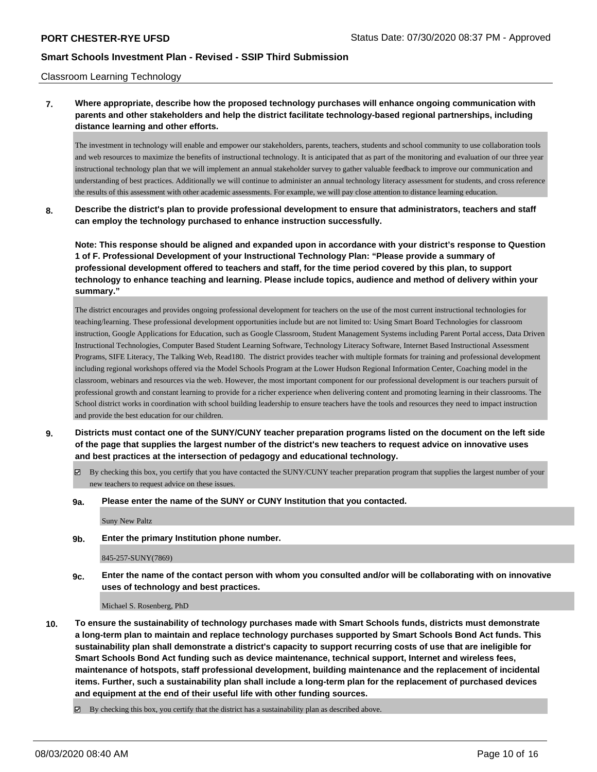#### Classroom Learning Technology

# **7. Where appropriate, describe how the proposed technology purchases will enhance ongoing communication with parents and other stakeholders and help the district facilitate technology-based regional partnerships, including distance learning and other efforts.**

The investment in technology will enable and empower our stakeholders, parents, teachers, students and school community to use collaboration tools and web resources to maximize the benefits of instructional technology. It is anticipated that as part of the monitoring and evaluation of our three year instructional technology plan that we will implement an annual stakeholder survey to gather valuable feedback to improve our communication and understanding of best practices. Additionally we will continue to administer an annual technology literacy assessment for students, and cross reference the results of this assessment with other academic assessments. For example, we will pay close attention to distance learning education

### **8. Describe the district's plan to provide professional development to ensure that administrators, teachers and staff can employ the technology purchased to enhance instruction successfully.**

**Note: This response should be aligned and expanded upon in accordance with your district's response to Question 1 of F. Professional Development of your Instructional Technology Plan: "Please provide a summary of professional development offered to teachers and staff, for the time period covered by this plan, to support technology to enhance teaching and learning. Please include topics, audience and method of delivery within your summary."**

The district encourages and provides ongoing professional development for teachers on the use of the most current instructional technologies for teaching/learning. These professional development opportunities include but are not limited to: Using Smart Board Technologies for classroom instruction, Google Applications for Education, such as Google Classroom, Student Management Systems including Parent Portal access, Data Driven Instructional Technologies, Computer Based Student Learning Software, Technology Literacy Software, Internet Based Instructional Assessment Programs, SIFE Literacy, The Talking Web, Read180. The district provides teacher with multiple formats for training and professional development including regional workshops offered via the Model Schools Program at the Lower Hudson Regional Information Center, Coaching model in the classroom, webinars and resources via the web. However, the most important component for our professional development is our teachers pursuit of professional growth and constant learning to provide for a richer experience when delivering content and promoting learning in their classrooms. The School district works in coordination with school building leadership to ensure teachers have the tools and resources they need to impact instruction and provide the best education for our children.

- **9. Districts must contact one of the SUNY/CUNY teacher preparation programs listed on the document on the left side of the page that supplies the largest number of the district's new teachers to request advice on innovative uses and best practices at the intersection of pedagogy and educational technology.**
	- By checking this box, you certify that you have contacted the SUNY/CUNY teacher preparation program that supplies the largest number of your new teachers to request advice on these issues.
	- **9a. Please enter the name of the SUNY or CUNY Institution that you contacted.**

Suny New Paltz

**9b. Enter the primary Institution phone number.**

845-257-SUNY(7869)

**9c. Enter the name of the contact person with whom you consulted and/or will be collaborating with on innovative uses of technology and best practices.**

Michael S. Rosenberg, PhD

**10. To ensure the sustainability of technology purchases made with Smart Schools funds, districts must demonstrate a long-term plan to maintain and replace technology purchases supported by Smart Schools Bond Act funds. This sustainability plan shall demonstrate a district's capacity to support recurring costs of use that are ineligible for Smart Schools Bond Act funding such as device maintenance, technical support, Internet and wireless fees, maintenance of hotspots, staff professional development, building maintenance and the replacement of incidental items. Further, such a sustainability plan shall include a long-term plan for the replacement of purchased devices and equipment at the end of their useful life with other funding sources.**

 $\boxtimes$  By checking this box, you certify that the district has a sustainability plan as described above.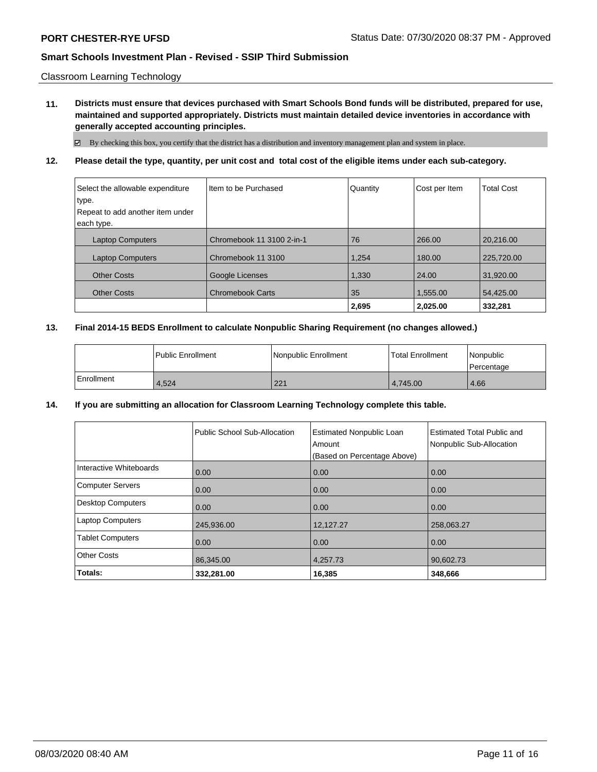### Classroom Learning Technology

**11. Districts must ensure that devices purchased with Smart Schools Bond funds will be distributed, prepared for use, maintained and supported appropriately. Districts must maintain detailed device inventories in accordance with generally accepted accounting principles.**

 $\boxtimes$  By checking this box, you certify that the district has a distribution and inventory management plan and system in place.

## **12. Please detail the type, quantity, per unit cost and total cost of the eligible items under each sub-category.**

| Select the allowable expenditure | Iltem to be Purchased     | Quantity | Cost per Item | <b>Total Cost</b> |
|----------------------------------|---------------------------|----------|---------------|-------------------|
| type.                            |                           |          |               |                   |
| Repeat to add another item under |                           |          |               |                   |
| each type.                       |                           |          |               |                   |
| <b>Laptop Computers</b>          | Chromebook 11 3100 2-in-1 | 76       | 266.00        | 20.216.00         |
| <b>Laptop Computers</b>          | Chromebook 11 3100        | 1,254    | 180.00        | 225,720.00        |
| <b>Other Costs</b>               | Google Licenses           | 1,330    | 24.00         | 31,920.00         |
| <b>Other Costs</b>               | <b>Chromebook Carts</b>   | 35       | 1,555.00      | 54,425.00         |
|                                  |                           | 2,695    | 2.025.00      | 332,281           |

## **13. Final 2014-15 BEDS Enrollment to calculate Nonpublic Sharing Requirement (no changes allowed.)**

|            | l Public Enrollment | Nonpublic Enrollment | l Total Enrollment | l Nonpublic<br>l Percentage |
|------------|---------------------|----------------------|--------------------|-----------------------------|
| Enrollment | 4.524               | 221                  | 4.745.00           | 4.66                        |

### **14. If you are submitting an allocation for Classroom Learning Technology complete this table.**

|                          | Public School Sub-Allocation | <b>Estimated Nonpublic Loan</b><br>Amount<br>(Based on Percentage Above) | <b>Estimated Total Public and</b><br>Nonpublic Sub-Allocation |
|--------------------------|------------------------------|--------------------------------------------------------------------------|---------------------------------------------------------------|
| Interactive Whiteboards  | 0.00                         | 0.00                                                                     | 0.00                                                          |
| <b>Computer Servers</b>  | 0.00                         | 0.00                                                                     | 0.00                                                          |
| <b>Desktop Computers</b> | 0.00                         | 0.00                                                                     | 0.00                                                          |
| <b>Laptop Computers</b>  | 245.936.00                   | 12,127.27                                                                | 258,063.27                                                    |
| <b>Tablet Computers</b>  | 0.00                         | 0.00                                                                     | 0.00                                                          |
| <b>Other Costs</b>       | 86,345.00                    | 4,257.73                                                                 | 90,602.73                                                     |
| Totals:                  | 332,281.00                   | 16,385                                                                   | 348,666                                                       |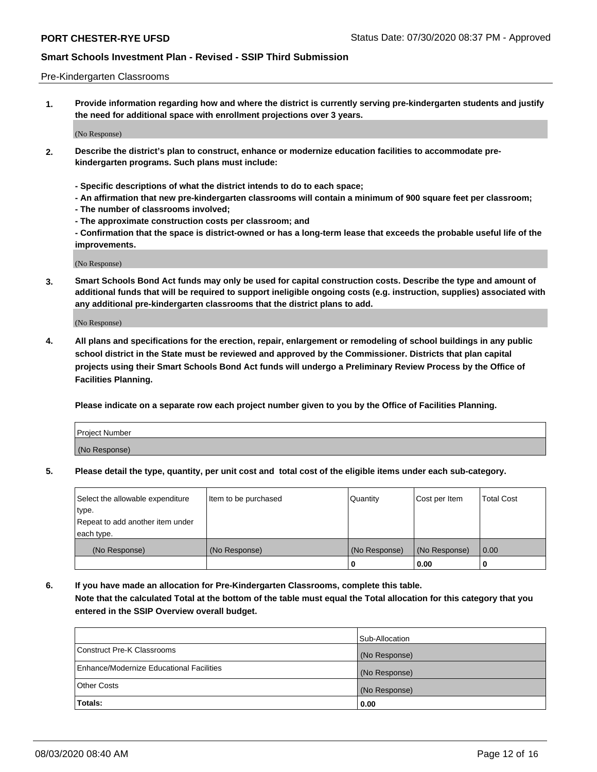#### Pre-Kindergarten Classrooms

**1. Provide information regarding how and where the district is currently serving pre-kindergarten students and justify the need for additional space with enrollment projections over 3 years.**

(No Response)

- **2. Describe the district's plan to construct, enhance or modernize education facilities to accommodate prekindergarten programs. Such plans must include:**
	- **Specific descriptions of what the district intends to do to each space;**
	- **An affirmation that new pre-kindergarten classrooms will contain a minimum of 900 square feet per classroom;**
	- **The number of classrooms involved;**
	- **The approximate construction costs per classroom; and**
	- **Confirmation that the space is district-owned or has a long-term lease that exceeds the probable useful life of the improvements.**

(No Response)

**3. Smart Schools Bond Act funds may only be used for capital construction costs. Describe the type and amount of additional funds that will be required to support ineligible ongoing costs (e.g. instruction, supplies) associated with any additional pre-kindergarten classrooms that the district plans to add.**

(No Response)

**4. All plans and specifications for the erection, repair, enlargement or remodeling of school buildings in any public school district in the State must be reviewed and approved by the Commissioner. Districts that plan capital projects using their Smart Schools Bond Act funds will undergo a Preliminary Review Process by the Office of Facilities Planning.**

**Please indicate on a separate row each project number given to you by the Office of Facilities Planning.**

| Project Number |  |
|----------------|--|
| (No Response)  |  |
|                |  |

**5. Please detail the type, quantity, per unit cost and total cost of the eligible items under each sub-category.**

| Select the allowable expenditure | Item to be purchased | Quantity      | Cost per Item | <b>Total Cost</b> |
|----------------------------------|----------------------|---------------|---------------|-------------------|
| type.                            |                      |               |               |                   |
| Repeat to add another item under |                      |               |               |                   |
| each type.                       |                      |               |               |                   |
| (No Response)                    | (No Response)        | (No Response) | (No Response) | 0.00              |
|                                  |                      | υ             | 0.00          |                   |

**6. If you have made an allocation for Pre-Kindergarten Classrooms, complete this table. Note that the calculated Total at the bottom of the table must equal the Total allocation for this category that you entered in the SSIP Overview overall budget.**

|                                          | Sub-Allocation |
|------------------------------------------|----------------|
| Construct Pre-K Classrooms               | (No Response)  |
| Enhance/Modernize Educational Facilities | (No Response)  |
| <b>Other Costs</b>                       | (No Response)  |
| Totals:                                  | 0.00           |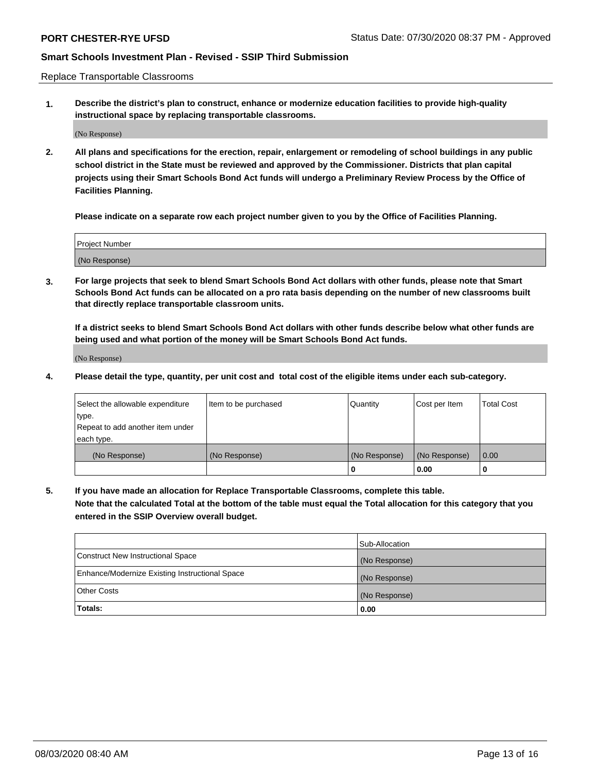Replace Transportable Classrooms

**1. Describe the district's plan to construct, enhance or modernize education facilities to provide high-quality instructional space by replacing transportable classrooms.**

(No Response)

**2. All plans and specifications for the erection, repair, enlargement or remodeling of school buildings in any public school district in the State must be reviewed and approved by the Commissioner. Districts that plan capital projects using their Smart Schools Bond Act funds will undergo a Preliminary Review Process by the Office of Facilities Planning.**

**Please indicate on a separate row each project number given to you by the Office of Facilities Planning.**

| Project Number |  |
|----------------|--|
|                |  |
|                |  |
|                |  |
| (No Response)  |  |
|                |  |
|                |  |

**3. For large projects that seek to blend Smart Schools Bond Act dollars with other funds, please note that Smart Schools Bond Act funds can be allocated on a pro rata basis depending on the number of new classrooms built that directly replace transportable classroom units.**

**If a district seeks to blend Smart Schools Bond Act dollars with other funds describe below what other funds are being used and what portion of the money will be Smart Schools Bond Act funds.**

(No Response)

**4. Please detail the type, quantity, per unit cost and total cost of the eligible items under each sub-category.**

| Select the allowable expenditure | Item to be purchased | Quantity      | Cost per Item | Total Cost |
|----------------------------------|----------------------|---------------|---------------|------------|
| ∣type.                           |                      |               |               |            |
| Repeat to add another item under |                      |               |               |            |
| each type.                       |                      |               |               |            |
| (No Response)                    | (No Response)        | (No Response) | (No Response) | 0.00       |
|                                  |                      | u             | 0.00          |            |

**5. If you have made an allocation for Replace Transportable Classrooms, complete this table. Note that the calculated Total at the bottom of the table must equal the Total allocation for this category that you entered in the SSIP Overview overall budget.**

|                                                | Sub-Allocation |
|------------------------------------------------|----------------|
| Construct New Instructional Space              | (No Response)  |
| Enhance/Modernize Existing Instructional Space | (No Response)  |
| Other Costs                                    | (No Response)  |
| Totals:                                        | 0.00           |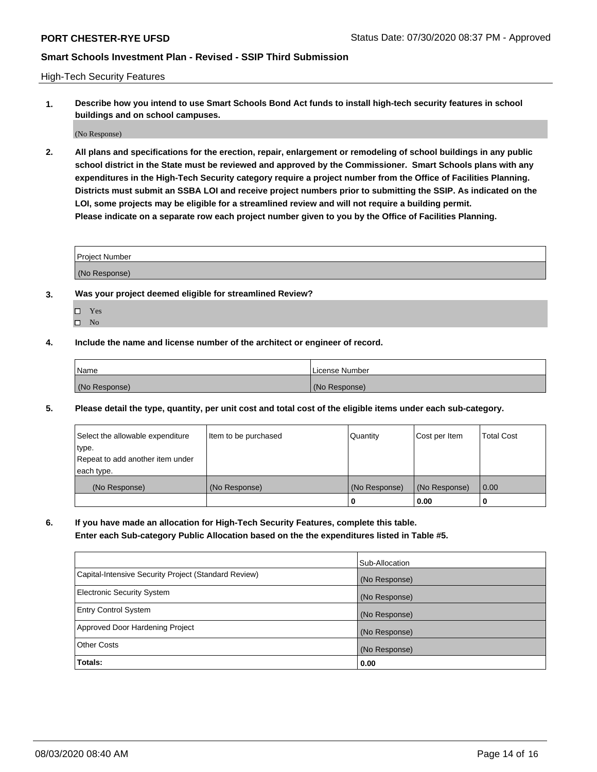High-Tech Security Features

**1. Describe how you intend to use Smart Schools Bond Act funds to install high-tech security features in school buildings and on school campuses.**

(No Response)

**2. All plans and specifications for the erection, repair, enlargement or remodeling of school buildings in any public school district in the State must be reviewed and approved by the Commissioner. Smart Schools plans with any expenditures in the High-Tech Security category require a project number from the Office of Facilities Planning. Districts must submit an SSBA LOI and receive project numbers prior to submitting the SSIP. As indicated on the LOI, some projects may be eligible for a streamlined review and will not require a building permit. Please indicate on a separate row each project number given to you by the Office of Facilities Planning.**

| <b>Project Number</b> |  |
|-----------------------|--|
| (No Response)         |  |

- **3. Was your project deemed eligible for streamlined Review?**
	- Yes
	- $\hfill \Box$  No
- **4. Include the name and license number of the architect or engineer of record.**

| <b>Name</b>   | License Number |
|---------------|----------------|
| (No Response) | (No Response)  |

**5. Please detail the type, quantity, per unit cost and total cost of the eligible items under each sub-category.**

| Select the allowable expenditure | Item to be purchased | Quantity      | Cost per Item | <b>Total Cost</b> |
|----------------------------------|----------------------|---------------|---------------|-------------------|
| ∣type.                           |                      |               |               |                   |
| Repeat to add another item under |                      |               |               |                   |
| each type.                       |                      |               |               |                   |
| (No Response)                    | (No Response)        | (No Response) | (No Response) | 0.00              |
|                                  |                      | 0             | 0.00          |                   |

**6. If you have made an allocation for High-Tech Security Features, complete this table.**

**Enter each Sub-category Public Allocation based on the the expenditures listed in Table #5.**

|                                                      | Sub-Allocation |
|------------------------------------------------------|----------------|
| Capital-Intensive Security Project (Standard Review) | (No Response)  |
| <b>Electronic Security System</b>                    | (No Response)  |
| <b>Entry Control System</b>                          | (No Response)  |
| Approved Door Hardening Project                      | (No Response)  |
| <b>Other Costs</b>                                   | (No Response)  |
| Totals:                                              | 0.00           |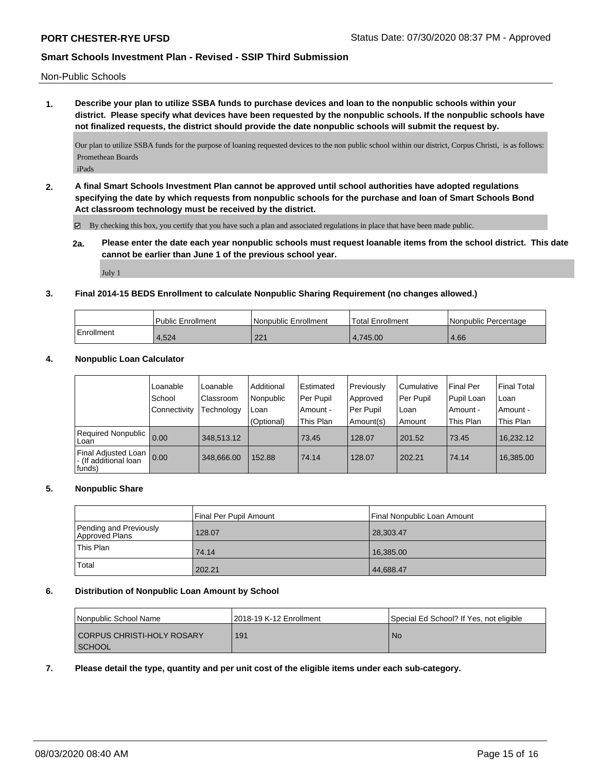Non-Public Schools

**1. Describe your plan to utilize SSBA funds to purchase devices and loan to the nonpublic schools within your district. Please specify what devices have been requested by the nonpublic schools. If the nonpublic schools have not finalized requests, the district should provide the date nonpublic schools will submit the request by.**

Our plan to utilize SSBA funds for the purpose of loaning requested devices to the non public school within our district, Corpus Christi, is as follows: Promethean Boards

iPads

**2. A final Smart Schools Investment Plan cannot be approved until school authorities have adopted regulations specifying the date by which requests from nonpublic schools for the purchase and loan of Smart Schools Bond Act classroom technology must be received by the district.**

By checking this box, you certify that you have such a plan and associated regulations in place that have been made public.

**2a. Please enter the date each year nonpublic schools must request loanable items from the school district. This date cannot be earlier than June 1 of the previous school year.**

July 1

## **3. Final 2014-15 BEDS Enrollment to calculate Nonpublic Sharing Requirement (no changes allowed.)**

|            | <b>Public Enrollment</b> | l Nonpublic Enrollment | <b>Total Enrollment</b> | I Nonpublic Percentage |
|------------|--------------------------|------------------------|-------------------------|------------------------|
| Enrollment | 4.524                    | ດດ 4                   | 4.745.00                | 4.66                   |

## **4. Nonpublic Loan Calculator**

|                                                         | Loanable            | Loanable   | Additional | Estimated | Previously | Cumulative | <b>Final Per</b> | <b>Final Total</b> |
|---------------------------------------------------------|---------------------|------------|------------|-----------|------------|------------|------------------|--------------------|
|                                                         | School              | Classroom  | Nonpublic  | Per Pupil | Approved   | Per Pupil  | Pupil Loan       | l Loan             |
|                                                         | <b>Connectivity</b> | Technology | Loan       | Amount -  | Per Pupil  | Loan       | ı Amount -       | Amount -           |
|                                                         |                     |            | (Optional) | This Plan | Amount(s)  | Amount     | This Plan        | This Plan          |
| Required Nonpublic  <br>Loan                            | 0.00                | 348.513.12 |            | 73.45     | 128.07     | 201.52     | 73.45            | 16,232.12          |
| Final Adjusted Loan<br>I- (If additional loan<br>funds) | 0.00                | 348,666.00 | 152.88     | 74.14     | 128.07     | 202.21     | 74.14            | 16,385.00          |

### **5. Nonpublic Share**

|                                          | Final Per Pupil Amount | Final Nonpublic Loan Amount |
|------------------------------------------|------------------------|-----------------------------|
| Pending and Previously<br>Approved Plans | 128.07                 | 28,303.47                   |
| This Plan                                | 74.14                  | 16,385.00                   |
| Total                                    | 202.21                 | 44,688.47                   |

### **6. Distribution of Nonpublic Loan Amount by School**

| <b>Nonpublic School Name</b> | 12018-19 K-12 Enrollment | Special Ed School? If Yes, not eligible |
|------------------------------|--------------------------|-----------------------------------------|
| CORPUS CHRISTI-HOLY ROSARY   | 191                      | No.                                     |
| I SCHOOL                     |                          |                                         |

### **7. Please detail the type, quantity and per unit cost of the eligible items under each sub-category.**